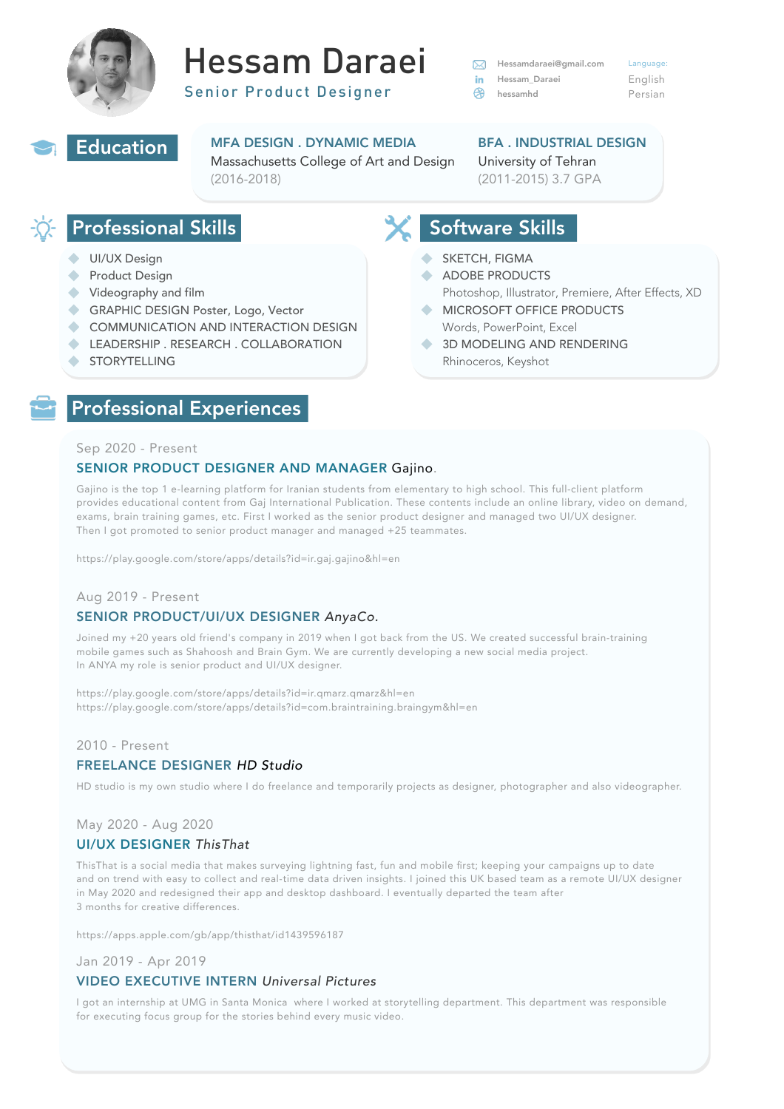

# Hessam Daraei

Senior Product Designer



### Professional Skills

## Software Skills

#### MFA DESIGN . DYNAMIC MEDIA Massachusetts College of Art and Design (2016-2018)

### BFA . INDUSTRIAL DESIGN University of Tehran (2011-2015) 3.7 GPA

- UI/UX Design
- Product Design
- Videography and film
- GRAPHIC DESIGN Poster, Logo, Vector
- COMMUNICATION AND INTERACTION DESIGN
- LEADERSHIP . RESEARCH . COLLABORATION
- STORYTELLING
- SKETCH, FIGMA
- ADOBE PRODUCTS
	- Photoshop, Illustrator, Premiere, After Effects, XD
- MICROSOFT OFFICE PRODUCTS Words, PowerPoint, Excel
- 3D MODELING AND RENDERING Rhinoceros, Keyshot

| $\mathbb{X}$ | Hessamdaraei@gmail.com     | Language: |
|--------------|----------------------------|-----------|
| in l         | <b>Hessam Daraei</b>       | English   |
|              | $\Leftrightarrow$ hessamhd | Persian   |

#### Sep 2020 - Present

#### SENIOR PRODUCT DESIGNER AND MANAGER Gajino.

Gajino is the top 1 e-learning platform for Iranian students from elementary to high school. This full-client platform provides educational content from Gaj International Publication. These contents include an online library, video on demand, exams, brain training games, etc. First I worked as the senior product designer and managed two UI/UX designer. Then I got promoted to senior product manager and managed +25 teammates.

<https://play.google.com/store/apps/details?id=ir.gaj.gajino&hl=en>

#### Aug 2019 - Present

#### SENIOR PRODUCT/UI/UX DESIGNER *AnyaCo.*

I got an internship at UMG in Santa Monica where I worked at storytelling department. This department was responsible for executing focus group for the stories behind every music video.

Joined my +20 years old friend's company in 2019 when I got back from the US. We created successful brain-training mobile games such as Shahoosh and Brain Gym. We are currently developing a new social media project. In ANYA my role is senior product and UI/UX designer.

[https://play.google.com/store/apps/details?id=ir.qmarz.qmarz&hl=en](https://play.google.com/store/apps/details?id=ir.gaj.gajino&hl=en) [https://play.google.com/store/apps/details?id=com.braintraining.braingym&hl=en](https://play.google.com/store/apps/details?id=ir.gaj.gajino&hl=en)

#### 2010 - Present FREELANCE DESIGNER *HD Studio*

HD studio is my own studio where I do freelance and temporarily projects as designer, photographer and also videographer.

#### May 2020 - Aug 2020 UI/UX DESIGNER *ThisThat*

ThisThat is a social media that makes surveying lightning fast, fun and mobile first; keeping your campaigns up to date and on trend with easy to collect and real-time data driven insights. I joined this UK based team as a remote UI/UX designer in May 2020 and redesigned their app and desktop dashboard. I eventually departed the team after 3 months for creative differences.

<https://apps.apple.com/gb/app/thisthat/id1439596187>

#### Jan 2019 - Apr 2019 VIDEO EXECUTIVE INTERN *Universal Pictures*